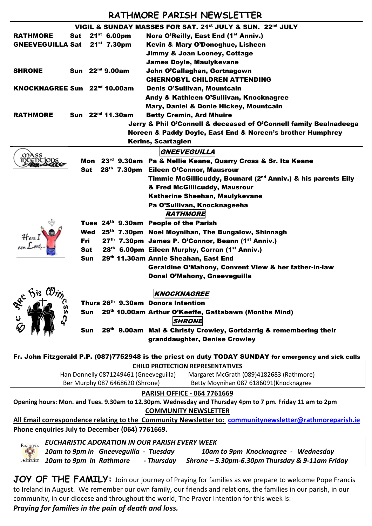## **RATHMORE PARISH NEWSLETTER**

| VIGIL & SUNDAY MASSES FOR SAT. 21 <sup>st</sup> JULY & SUN. 22 <sup>nd</sup> JULY                                                              |                                          |                                                                           |  |  |
|------------------------------------------------------------------------------------------------------------------------------------------------|------------------------------------------|---------------------------------------------------------------------------|--|--|
| <b>RATHMORE</b>                                                                                                                                | $21^{st}$ 6.00pm<br>Sat                  | Nora O'Reilly, East End (1 <sup>st</sup> Anniv.)                          |  |  |
| <b>GNEEVEGUILLA Sat</b>                                                                                                                        | $21^{st}$ 7.30pm                         | Kevin & Mary O'Donoghue, Lisheen                                          |  |  |
|                                                                                                                                                |                                          | <b>Jimmy &amp; Joan Looney, Cottage</b>                                   |  |  |
|                                                                                                                                                |                                          | <b>James Doyle, Maulykevane</b>                                           |  |  |
| <b>SHRONE</b>                                                                                                                                  | Sun 22 <sup>nd</sup> 9.00am              | John O'Callaghan, Gortnagown                                              |  |  |
|                                                                                                                                                |                                          | <b>CHERNOBYL CHILDREN ATTENDING</b>                                       |  |  |
|                                                                                                                                                | KNOCKNAGREE Sun 22 <sup>nd</sup> 10.00am | Denis O'Sullivan, Mountcain                                               |  |  |
|                                                                                                                                                |                                          | Andy & Kathleen O'Sullivan, Knocknagree                                   |  |  |
|                                                                                                                                                |                                          | Mary, Daniel & Donie Hickey, Mountcain                                    |  |  |
| <b>RATHMORE</b>                                                                                                                                | Sun 22 <sup>nd</sup> 11.30am             | <b>Betty Cremin, Ard Mhuire</b>                                           |  |  |
|                                                                                                                                                |                                          | Jerry & Phil O'Connell & deceased of O'Connell family Bealnadeega         |  |  |
| Noreen & Paddy Doyle, East End & Noreen's brother Humphrey                                                                                     |                                          |                                                                           |  |  |
| Kerins, Scartaglen                                                                                                                             |                                          |                                                                           |  |  |
|                                                                                                                                                |                                          | GNEEVEGUILLA                                                              |  |  |
| mass                                                                                                                                           | Mon                                      | 23 <sup>rd</sup> 9.30am Pa & Nellie Keane, Quarry Cross & Sr. Ita Keane   |  |  |
|                                                                                                                                                | Sat                                      | 28th 7.30pm Eileen O'Connor, Mausrour                                     |  |  |
|                                                                                                                                                |                                          | Timmie McGillicuddy, Bounard (2 <sup>nd</sup> Anniv.) & his parents Eily  |  |  |
|                                                                                                                                                |                                          | & Fred McGillicuddy, Mausrour                                             |  |  |
|                                                                                                                                                |                                          | Katherine Sheehan, Maulykevane                                            |  |  |
|                                                                                                                                                |                                          | Pa O'Sullivan, Knocknageeha                                               |  |  |
|                                                                                                                                                |                                          | <b>RATHMORE</b>                                                           |  |  |
|                                                                                                                                                |                                          | Tues 24th 9.30am People of the Parish                                     |  |  |
| Here I                                                                                                                                         |                                          | Wed 25 <sup>th</sup> 7.30pm Noel Moynihan, The Bungalow, Shinnagh         |  |  |
|                                                                                                                                                | Fri                                      | 27 <sup>th</sup> 7.30pm James P. O'Connor, Beann (1 <sup>st</sup> Anniv.) |  |  |
|                                                                                                                                                | Sat                                      | 28 <sup>th</sup> 6.00pm Eileen Murphy, Corran (1 <sup>st</sup> Anniv.)    |  |  |
|                                                                                                                                                | Sun                                      | 29th 11.30am Annie Sheahan, East End                                      |  |  |
|                                                                                                                                                |                                          | Geraldine O'Mahony, Convent View & her father-in-law                      |  |  |
|                                                                                                                                                |                                          | Donal O'Mahony, Gneeveguilla                                              |  |  |
|                                                                                                                                                |                                          |                                                                           |  |  |
| ac his Wir<br>KNOCKNAGREE                                                                                                                      |                                          |                                                                           |  |  |
| ss<br>ا<br>È,<br>Thurs 26th 9.30am Donors Intention<br>29th 10.00am Arthur O'Keeffe, Gattabawn (Months Mind)<br>Sun<br>۵<br><b>SHRONE</b>      |                                          |                                                                           |  |  |
|                                                                                                                                                |                                          | 29th 9.00am Mai & Christy Crowley, Gortdarrig & remembering their<br>Sun  |  |  |
|                                                                                                                                                |                                          | granddaughter, Denise Crowley                                             |  |  |
|                                                                                                                                                |                                          |                                                                           |  |  |
| Fr. John Fitzgerald P.P. (087)7752948 is the priest on duty TODAY SUNDAY for emergency and sick calls                                          |                                          |                                                                           |  |  |
| <b>CHILD PROTECTION REPRESENTATIVES</b>                                                                                                        |                                          |                                                                           |  |  |
|                                                                                                                                                | Han Donnelly 0871249461 (Gneeveguilla)   | Margaret McGrath (089)4182683 (Rathmore)                                  |  |  |
|                                                                                                                                                | Ber Murphy 087 6468620 (Shrone)          | Betty Moynihan 087 6186091) Knocknagree                                   |  |  |
|                                                                                                                                                |                                          |                                                                           |  |  |
| <b>PARISH OFFICE - 064 7761669</b><br>Opening hours: Mon. and Tues. 9.30am to 12.30pm. Wednesday and Thursday 4pm to 7 pm. Friday 11 am to 2pm |                                          |                                                                           |  |  |
| <b>COMMUNITY NEWSLETTER</b>                                                                                                                    |                                          |                                                                           |  |  |
| All Email correspondence relating to the Community Newsletter to: communitynewsletter@rathmoreparish.ie                                        |                                          |                                                                           |  |  |
| Phone enquiries July to December (064) 7761669.                                                                                                |                                          |                                                                           |  |  |
|                                                                                                                                                |                                          |                                                                           |  |  |
| <b>EUCHARISTIC ADORATION IN OUR PARISH EVERY WEEK</b><br>Eucharistic                                                                           |                                          |                                                                           |  |  |
| 10am to 9pm in Gneeveguilla - Tuesday<br>10am to 9pm Knocknagree - Wednesday                                                                   |                                          |                                                                           |  |  |
| 10am to 9pm in Rathmore<br>- Thursday<br>Shrone - 5.30pm-6.30pm Thursday & 9-11am Friday<br>Adoration                                          |                                          |                                                                           |  |  |

JOY OF THE FAMILY: Join our journey of Praying for families as we prepare to welcome Pope Francis to Ireland in August. We remember our own family, our friends and relations, the families in our parish, in our community, in our diocese and throughout the world, The Prayer Intention for this week is:

*Praying for families in the pain of death and loss.*